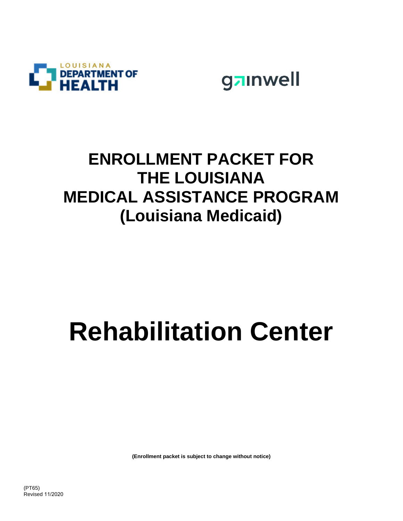



## **ENROLLMENT PACKET FOR THE LOUISIANA MEDICAL ASSISTANCE PROGRAM (Louisiana Medicaid)**

# **Rehabilitation Center**

**(Enrollment packet is subject to change without notice)**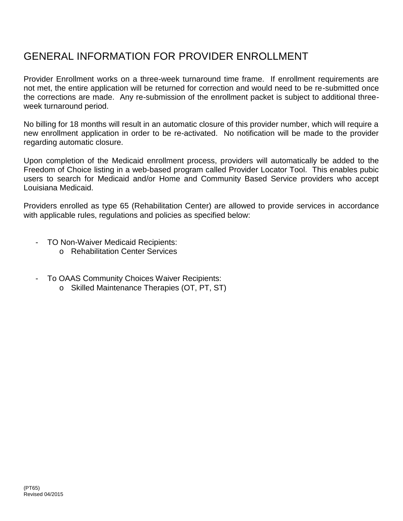### GENERAL INFORMATION FOR PROVIDER ENROLLMENT

Provider Enrollment works on a three-week turnaround time frame. If enrollment requirements are not met, the entire application will be returned for correction and would need to be re-submitted once the corrections are made. Any re-submission of the enrollment packet is subject to additional three week turnaround period.

No billing for 18 months will result in an automatic closure of this provider number, which will require a new enrollment application in order to be re-activated. No notification will be made to the provider regarding automatic closure.

Upon completion of the Medicaid enrollment process, providers will automatically be added to the Freedom of Choice listing in a web-based program called Provider Locator Tool. This enables pubic users to search for Medicaid and/or Home and Community Based Service providers who accept Louisiana Medicaid.

Providers enrolled as type 65 (Rehabilitation Center) are allowed to provide services in accordance with applicable rules, regulations and policies as specified below:

- TO Non-Waiver Medicaid Recipients:
	- o Rehabilitation Center Services
- To OAAS Community Choices Waiver Recipients:
	- o Skilled Maintenance Therapies (OT, PT, ST)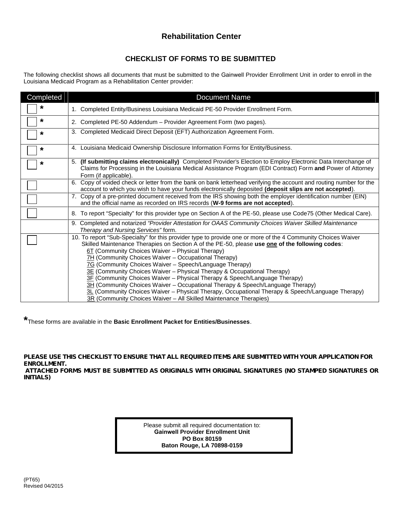#### **Rehabilitation Center**

#### **CHECKLIST OF FORMS TO BE SUBMITTED**

The following checklist shows all documents that must be submitted to the Gainwell Provider Enrollment Unit in order to enroll in the Louisiana Medicaid Program as a Rehabilitation Center provider:

| Completed | <b>Document Name</b>                                                                                                                                                                                                                                                                                                                                                                                                                                                                                                                                                                                                                                                                                                                                                                                        |
|-----------|-------------------------------------------------------------------------------------------------------------------------------------------------------------------------------------------------------------------------------------------------------------------------------------------------------------------------------------------------------------------------------------------------------------------------------------------------------------------------------------------------------------------------------------------------------------------------------------------------------------------------------------------------------------------------------------------------------------------------------------------------------------------------------------------------------------|
| *         | 1. Completed Entity/Business Louisiana Medicaid PE-50 Provider Enrollment Form.                                                                                                                                                                                                                                                                                                                                                                                                                                                                                                                                                                                                                                                                                                                             |
| *         | 2. Completed PE-50 Addendum - Provider Agreement Form (two pages).                                                                                                                                                                                                                                                                                                                                                                                                                                                                                                                                                                                                                                                                                                                                          |
| *         | 3. Completed Medicaid Direct Deposit (EFT) Authorization Agreement Form.                                                                                                                                                                                                                                                                                                                                                                                                                                                                                                                                                                                                                                                                                                                                    |
| *         | 4. Louisiana Medicaid Ownership Disclosure Information Forms for Entity/Business.                                                                                                                                                                                                                                                                                                                                                                                                                                                                                                                                                                                                                                                                                                                           |
| *         | (If submitting claims electronically) Completed Provider's Election to Employ Electronic Data Interchange of<br>5.<br>Claims for Processing in the Louisiana Medical Assistance Program (EDI Contract) Form and Power of Attorney<br>Form (if applicable).                                                                                                                                                                                                                                                                                                                                                                                                                                                                                                                                                  |
|           | Copy of voided check or letter from the bank on bank letterhead verifying the account and routing number for the<br>6.<br>account to which you wish to have your funds electronically deposited (deposit slips are not accepted).                                                                                                                                                                                                                                                                                                                                                                                                                                                                                                                                                                           |
|           | 7. Copy of a pre-printed document received from the IRS showing both the employer identification number (EIN)<br>and the official name as recorded on IRS records (W-9 forms are not accepted).                                                                                                                                                                                                                                                                                                                                                                                                                                                                                                                                                                                                             |
|           | 8. To report "Specialty" for this provider type on Section A of the PE-50, please use Code75 (Other Medical Care).                                                                                                                                                                                                                                                                                                                                                                                                                                                                                                                                                                                                                                                                                          |
|           | 9. Completed and notarized "Provider Attestation for OAAS Community Choices Waiver Skilled Maintenance<br>Therapy and Nursing Services" form.                                                                                                                                                                                                                                                                                                                                                                                                                                                                                                                                                                                                                                                               |
|           | 10. To report "Sub-Specialty" for this provider type to provide one or more of the 4 Community Choices Waiver<br>Skilled Maintenance Therapies on Section A of the PE-50, please use one of the following codes:<br>6T (Community Choices Waiver - Physical Therapy)<br>7H (Community Choices Waiver – Occupational Therapy)<br>7G (Community Choices Waiver – Speech/Language Therapy)<br>3E (Community Choices Waiver - Physical Therapy & Occupational Therapy)<br>3F (Community Choices Waiver - Physical Therapy & Speech/Language Therapy)<br>3H (Community Choices Waiver - Occupational Therapy & Speech/Language Therapy)<br>3L (Community Choices Waiver - Physical Therapy, Occupational Therapy & Speech/Language Therapy)<br>3R (Community Choices Waiver – All Skilled Maintenance Therapies) |

**\***These forms are available in the **Basic Enrollment Packet for Entities/Businesses**.

*PLEASE USE THIS CHECKLIST TO ENSURE THAT ALL REQUIRED ITEMS ARE SUBMITTED WITH YOUR APPLICATION FOR ENROLLMENT. ATTACHED FORMS MUST BE SUBMITTED AS ORIGINALS WITH ORIGINAL SIGNATURES (NO STAMPED SIGNATURES OR INITIALS)*

> Please submit all required documentation to: **Gainwell Provider Enrollment Unit PO Box 80159 Baton Rouge, LA 70898-0159**